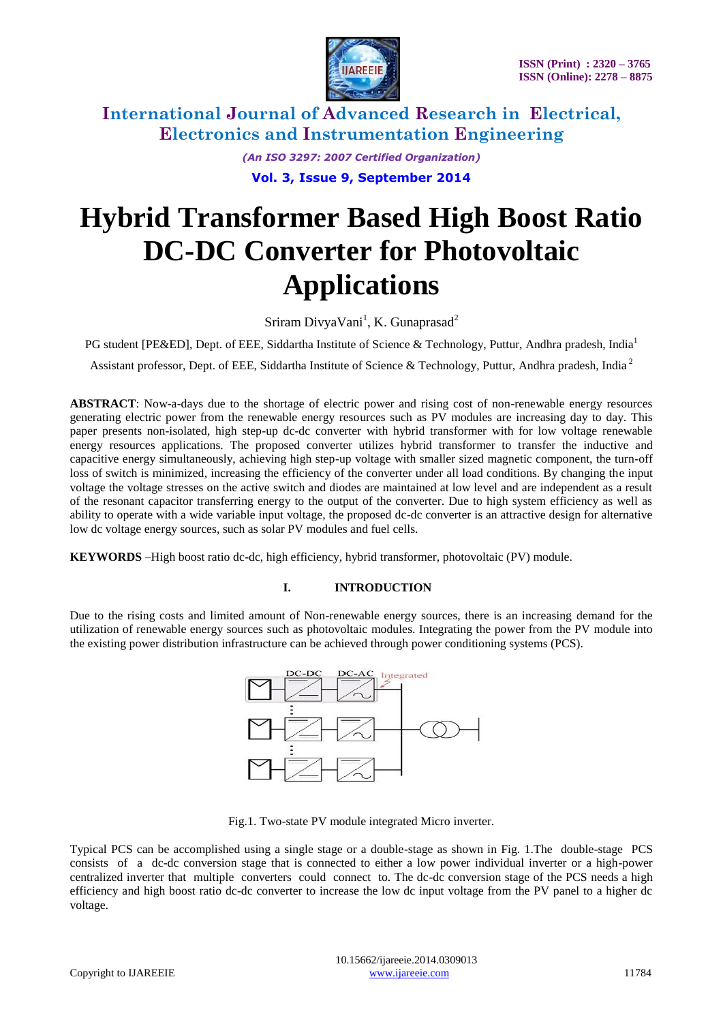

> *(An ISO 3297: 2007 Certified Organization)* **Vol. 3, Issue 9, September 2014**

# **Hybrid Transformer Based High Boost Ratio DC-DC Converter for Photovoltaic Applications**

Sriram DivyaVani<sup>1</sup>, K. Gunaprasad<sup>2</sup>

PG student [PE&ED], Dept. of EEE, Siddartha Institute of Science & Technology, Puttur, Andhra pradesh, India<sup>1</sup>

Assistant professor, Dept. of EEE, Siddartha Institute of Science & Technology, Puttur, Andhra pradesh, India<sup>2</sup>

**ABSTRACT**: Now-a-days due to the shortage of electric power and rising cost of non-renewable energy resources generating electric power from the renewable energy resources such as PV modules are increasing day to day. This paper presents non-isolated, high step-up dc-dc converter with hybrid transformer with for low voltage renewable energy resources applications. The proposed converter utilizes hybrid transformer to transfer the inductive and capacitive energy simultaneously, achieving high step-up voltage with smaller sized magnetic component, the turn-off loss of switch is minimized, increasing the efficiency of the converter under all load conditions. By changing the input voltage the voltage stresses on the active switch and diodes are maintained at low level and are independent as a result of the resonant capacitor transferring energy to the output of the converter. Due to high system efficiency as well as ability to operate with a wide variable input voltage, the proposed dc-dc converter is an attractive design for alternative low dc voltage energy sources, such as solar PV modules and fuel cells.

**KEYWORDS** –High boost ratio dc-dc, high efficiency, hybrid transformer, photovoltaic (PV) module.

### **I. INTRODUCTION**

Due to the rising costs and limited amount of Non-renewable energy sources, there is an increasing demand for the utilization of renewable energy sources such as photovoltaic modules. Integrating the power from the PV module into the existing power distribution infrastructure can be achieved through power conditioning systems (PCS).



Fig.1. Two-state PV module integrated Micro inverter.

Typical PCS can be accomplished using a single stage or a double-stage as shown in Fig. 1.The double-stage PCS consists of a dc-dc conversion stage that is connected to either a low power individual inverter or a high-power centralized inverter that multiple converters could connect to. The dc-dc conversion stage of the PCS needs a high efficiency and high boost ratio dc-dc converter to increase the low dc input voltage from the PV panel to a higher dc voltage.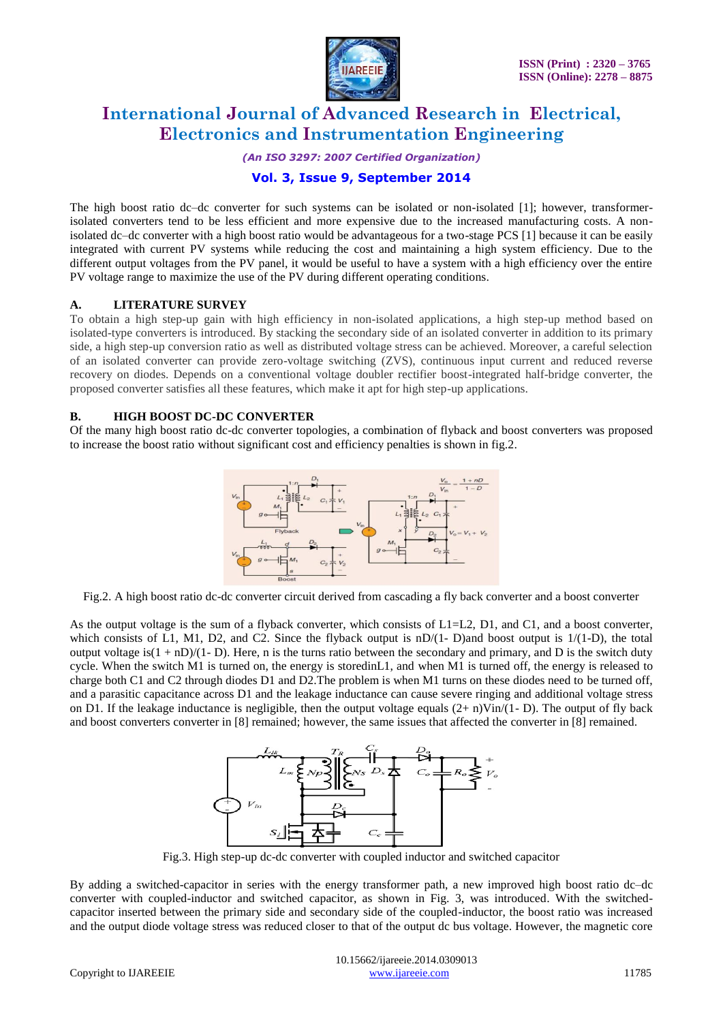

*(An ISO 3297: 2007 Certified Organization)*

## **Vol. 3, Issue 9, September 2014**

The high boost ratio dc–dc converter for such systems can be isolated or non-isolated [1]; however, transformerisolated converters tend to be less efficient and more expensive due to the increased manufacturing costs. A nonisolated dc–dc converter with a high boost ratio would be advantageous for a two-stage PCS [1] because it can be easily integrated with current PV systems while reducing the cost and maintaining a high system efficiency. Due to the different output voltages from the PV panel, it would be useful to have a system with a high efficiency over the entire PV voltage range to maximize the use of the PV during different operating conditions.

### **A. LITERATURE SURVEY**

To obtain a high step-up gain with high efficiency in non-isolated applications, a high step-up method based on isolated-type converters is introduced. By stacking the secondary side of an isolated converter in addition to its primary side, a high step-up conversion ratio as well as distributed voltage stress can be achieved. Moreover, a careful selection of an isolated converter can provide zero-voltage switching (ZVS), continuous input current and reduced reverse recovery on diodes. Depends on a conventional voltage doubler rectifier boost-integrated half-bridge converter, the proposed converter satisfies all these features, which make it apt for high step-up applications.

### **B. HIGH BOOST DC-DC CONVERTER**

Of the many high boost ratio dc-dc converter topologies, a combination of flyback and boost converters was proposed to increase the boost ratio without significant cost and efficiency penalties is shown in fig.2.



Fig.2. A high boost ratio dc-dc converter circuit derived from cascading a fly back converter and a boost converter

As the output voltage is the sum of a flyback converter, which consists of L1=L2, D1, and C1, and a boost converter, which consists of L1, M1, D2, and C2. Since the flyback output is  $nD/(1-D)$  and boost output is  $1/(1-D)$ , the total output voltage is $(1 + nD)/(1 - D)$ . Here, n is the turns ratio between the secondary and primary, and D is the switch duty cycle. When the switch M1 is turned on, the energy is storedinL1, and when M1 is turned off, the energy is released to charge both C1 and C2 through diodes D1 and D2.The problem is when M1 turns on these diodes need to be turned off, and a parasitic capacitance across D1 and the leakage inductance can cause severe ringing and additional voltage stress on D1. If the leakage inductance is negligible, then the output voltage equals  $(2+n)$ Vin/(1-D). The output of fly back and boost converters converter in [8] remained; however, the same issues that affected the converter in [8] remained.



Fig.3. High step-up dc-dc converter with coupled inductor and switched capacitor

By adding a switched-capacitor in series with the energy transformer path, a new improved high boost ratio dc–dc converter with coupled-inductor and switched capacitor, as shown in Fig. 3, was introduced. With the switchedcapacitor inserted between the primary side and secondary side of the coupled-inductor, the boost ratio was increased and the output diode voltage stress was reduced closer to that of the output dc bus voltage. However, the magnetic core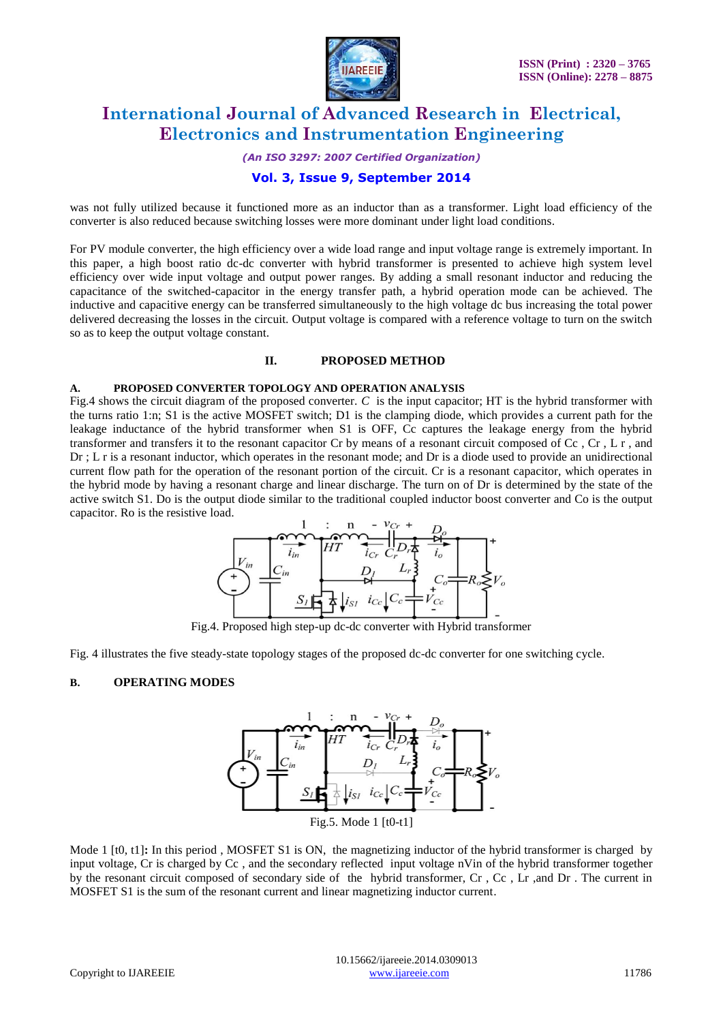

*(An ISO 3297: 2007 Certified Organization)*

## **Vol. 3, Issue 9, September 2014**

was not fully utilized because it functioned more as an inductor than as a transformer. Light load efficiency of the converter is also reduced because switching losses were more dominant under light load conditions.

For PV module converter, the high efficiency over a wide load range and input voltage range is extremely important. In this paper, a high boost ratio dc-dc converter with hybrid transformer is presented to achieve high system level efficiency over wide input voltage and output power ranges. By adding a small resonant inductor and reducing the capacitance of the switched-capacitor in the energy transfer path, a hybrid operation mode can be achieved. The inductive and capacitive energy can be transferred simultaneously to the high voltage dc bus increasing the total power delivered decreasing the losses in the circuit. Output voltage is compared with a reference voltage to turn on the switch so as to keep the output voltage constant.

#### **II. PROPOSED METHOD**

#### **A. PROPOSED CONVERTER TOPOLOGY AND OPERATION ANALYSIS**

Fig.4 shows the circuit diagram of the proposed converter. *C* is the input capacitor; HT is the hybrid transformer with the turns ratio 1:n; S1 is the active MOSFET switch; D1 is the clamping diode, which provides a current path for the leakage inductance of the hybrid transformer when S1 is OFF, Cc captures the leakage energy from the hybrid transformer and transfers it to the resonant capacitor Cr by means of a resonant circuit composed of Cc , Cr , L r , and Dr ; L r is a resonant inductor, which operates in the resonant mode; and Dr is a diode used to provide an unidirectional current flow path for the operation of the resonant portion of the circuit. Cr is a resonant capacitor, which operates in the hybrid mode by having a resonant charge and linear discharge. The turn on of Dr is determined by the state of the active switch S1. Do is the output diode similar to the traditional coupled inductor boost converter and Co is the output capacitor. Ro is the resistive load.



Fig.4. Proposed high step-up dc-dc converter with Hybrid transformer

Fig. 4 illustrates the five steady-state topology stages of the proposed dc-dc converter for one switching cycle.

### **B. OPERATING MODES**



Mode 1 [t0, t1]: In this period, MOSFET S1 is ON, the magnetizing inductor of the hybrid transformer is charged by input voltage, Cr is charged by Cc , and the secondary reflected input voltage nVin of the hybrid transformer together by the resonant circuit composed of secondary side of the hybrid transformer, Cr , Cc , Lr ,and Dr . The current in MOSFET S1 is the sum of the resonant current and linear magnetizing inductor current.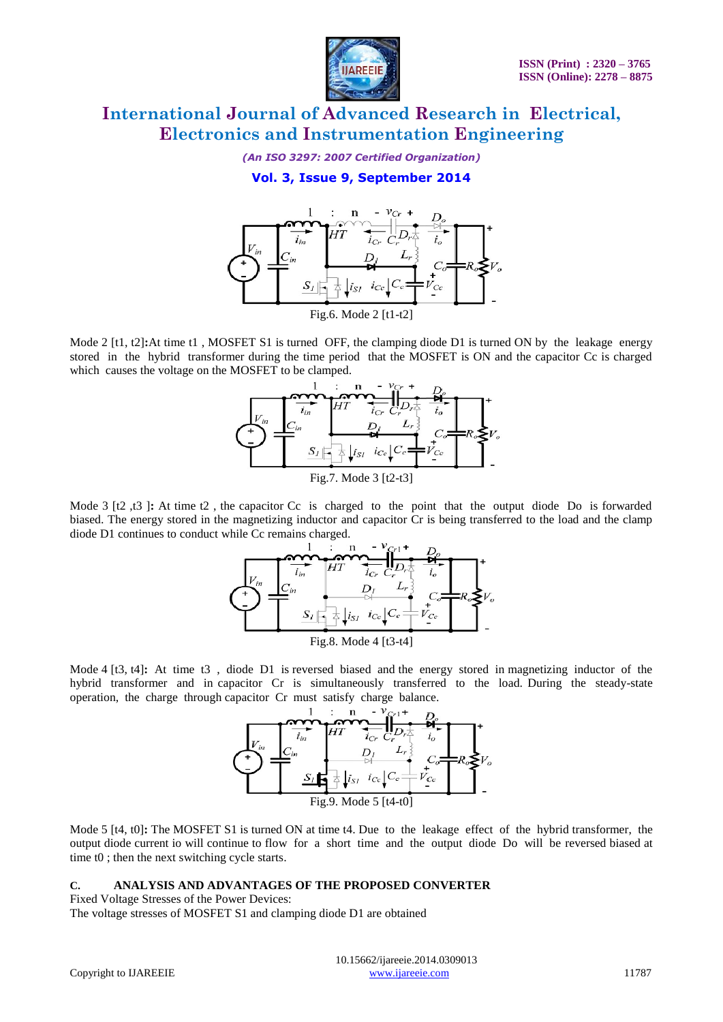

*(An ISO 3297: 2007 Certified Organization)*

## **Vol. 3, Issue 9, September 2014**



Mode 2 [t1, t2]**:**At time t1, MOSFET S1 is turned OFF, the clamping diode D1 is turned ON by the leakage energy stored in the hybrid transformer during the time period that the MOSFET is ON and the capacitor Cc is charged which causes the voltage on the MOSFET to be clamped.



Mode 3 [t2,t3]: At time t2, the capacitor Cc is charged to the point that the output diode Do is forwarded biased. The energy stored in the magnetizing inductor and capacitor Cr is being transferred to the load and the clamp diode D1 continues to conduct while Cc remains charged.



Mode 4 [t3, t4]**:** At time t3 , diode D1 is reversed biased and the energy stored in magnetizing inductor of the hybrid transformer and in capacitor Cr is simultaneously transferred to the load. During the steady-state operation, the charge through capacitor Cr must satisfy charge balance.



Mode 5 [t4, t0]**:** The MOSFET S1 is turned ON at time t4. Due to the leakage effect of the hybrid transformer, the output diode current io will continue to flow for a short time and the output diode Do will be reversed biased at time t0 ; then the next switching cycle starts.

#### **C. ANALYSIS AND ADVANTAGES OF THE PROPOSED CONVERTER**

Fixed Voltage Stresses of the Power Devices:

The voltage stresses of MOSFET S1 and clamping diode D1 are obtained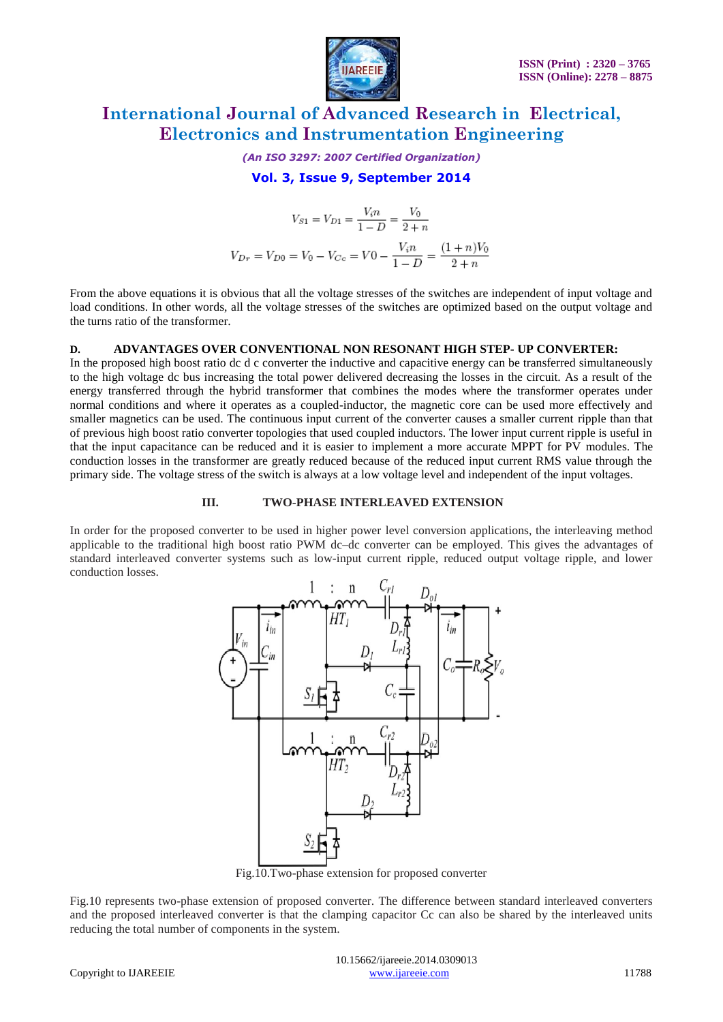

*(An ISO 3297: 2007 Certified Organization)*

### **Vol. 3, Issue 9, September 2014**

$$
V_{S1} = V_{D1} = \frac{V_{i}n}{1 - D} = \frac{V_{0}}{2 + n}
$$

$$
V_{Dr} = V_{D0} = V_{0} - V_{Cc} = V_{0} - \frac{V_{i}n}{1 - D} = \frac{(1 + n)V_{0}}{2 + n}
$$

From the above equations it is obvious that all the voltage stresses of the switches are independent of input voltage and load conditions. In other words, all the voltage stresses of the switches are optimized based on the output voltage and the turns ratio of the transformer.

#### **D. ADVANTAGES OVER CONVENTIONAL NON RESONANT HIGH STEP- UP CONVERTER:**

In the proposed high boost ratio dc d c converter the inductive and capacitive energy can be transferred simultaneously to the high voltage dc bus increasing the total power delivered decreasing the losses in the circuit. As a result of the energy transferred through the hybrid transformer that combines the modes where the transformer operates under normal conditions and where it operates as a coupled-inductor, the magnetic core can be used more effectively and smaller magnetics can be used. The continuous input current of the converter causes a smaller current ripple than that of previous high boost ratio converter topologies that used coupled inductors. The lower input current ripple is useful in that the input capacitance can be reduced and it is easier to implement a more accurate MPPT for PV modules. The conduction losses in the transformer are greatly reduced because of the reduced input current RMS value through the primary side. The voltage stress of the switch is always at a low voltage level and independent of the input voltages.

#### **III. TWO-PHASE INTERLEAVED EXTENSION**

In order for the proposed converter to be used in higher power level conversion applications, the interleaving method applicable to the traditional high boost ratio PWM dc–dc converter can be employed. This gives the advantages of standard interleaved converter systems such as low-input current ripple, reduced output voltage ripple, and lower conduction losses.



Fig.10.Two-phase extension for proposed converter

Fig.10 represents two-phase extension of proposed converter. The difference between standard interleaved converters and the proposed interleaved converter is that the clamping capacitor Cc can also be shared by the interleaved units reducing the total number of components in the system.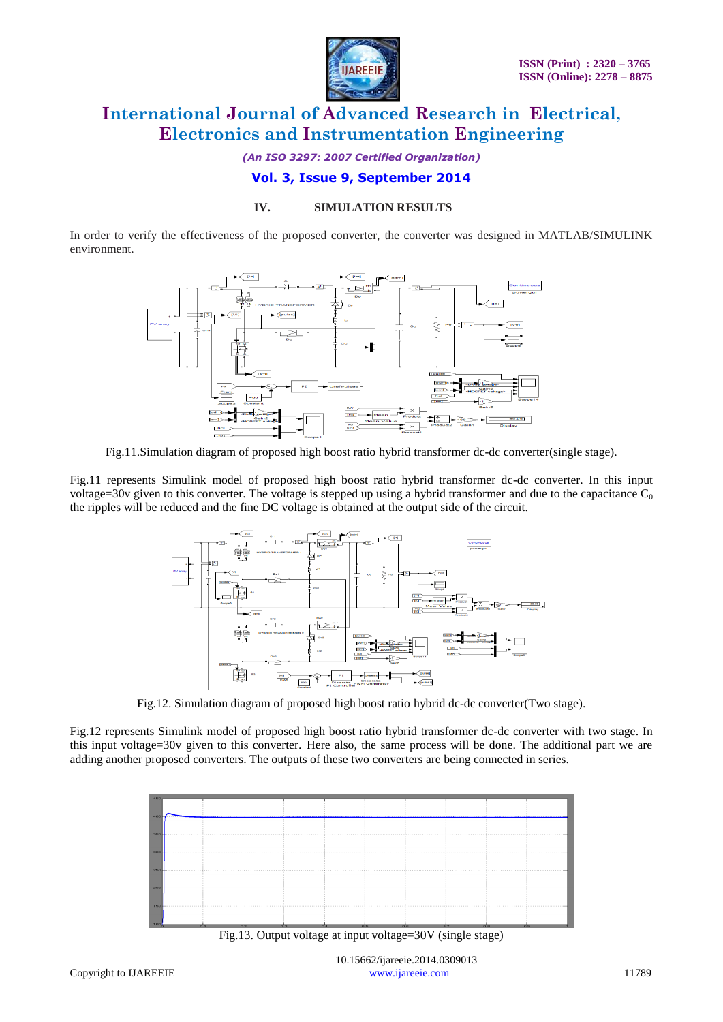

*(An ISO 3297: 2007 Certified Organization)*

### **Vol. 3, Issue 9, September 2014**

#### **IV. SIMULATION RESULTS**

In order to verify the effectiveness of the proposed converter, the converter was designed in MATLAB/SIMULINK environment.



Fig.11.Simulation diagram of proposed high boost ratio hybrid transformer dc-dc converter(single stage).

Fig.11 represents Simulink model of proposed high boost ratio hybrid transformer dc-dc converter. In this input voltage=30v given to this converter. The voltage is stepped up using a hybrid transformer and due to the capacitance  $C_0$ the ripples will be reduced and the fine DC voltage is obtained at the output side of the circuit.



Fig.12. Simulation diagram of proposed high boost ratio hybrid dc-dc converter(Two stage).

Fig.12 represents Simulink model of proposed high boost ratio hybrid transformer dc-dc converter with two stage. In this input voltage=30v given to this converter. Here also, the same process will be done. The additional part we are adding another proposed converters. The outputs of these two converters are being connected in series.



Fig.13. Output voltage at input voltage=30V (single stage)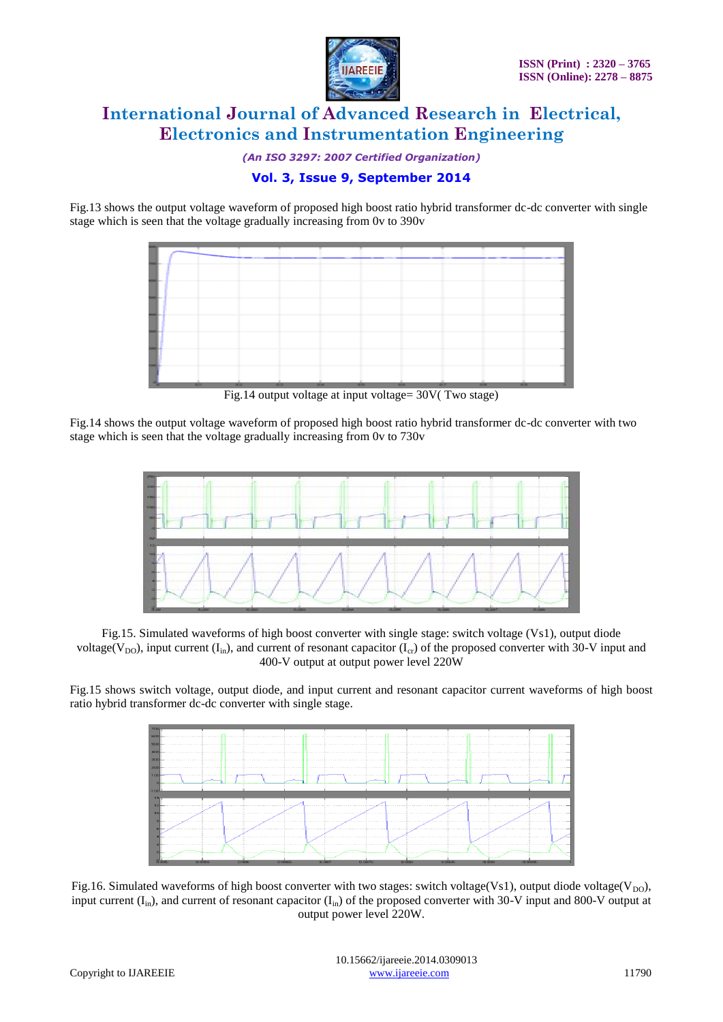

*(An ISO 3297: 2007 Certified Organization)*

# **Vol. 3, Issue 9, September 2014**

Fig.13 shows the output voltage waveform of proposed high boost ratio hybrid transformer dc-dc converter with single stage which is seen that the voltage gradually increasing from 0v to 390v



Fig.14 output voltage at input voltage= 30V( Two stage)

Fig.14 shows the output voltage waveform of proposed high boost ratio hybrid transformer dc-dc converter with two stage which is seen that the voltage gradually increasing from 0v to 730v



Fig.15. Simulated waveforms of high boost converter with single stage: switch voltage (Vs1), output diode voltage(V<sub>DO</sub>), input current (I<sub>in</sub>), and current of resonant capacitor (I<sub>cr</sub>) of the proposed converter with 30-V input and 400-V output at output power level 220W

Fig.15 shows switch voltage, output diode, and input current and resonant capacitor current waveforms of high boost ratio hybrid transformer dc-dc converter with single stage.



Fig.16. Simulated waveforms of high boost converter with two stages: switch voltage(Vs1), output diode voltage(V<sub>DO</sub>), input current  $(I_{in})$ , and current of resonant capacitor  $(I_{in})$  of the proposed converter with 30-V input and 800-V output at output power level 220W.